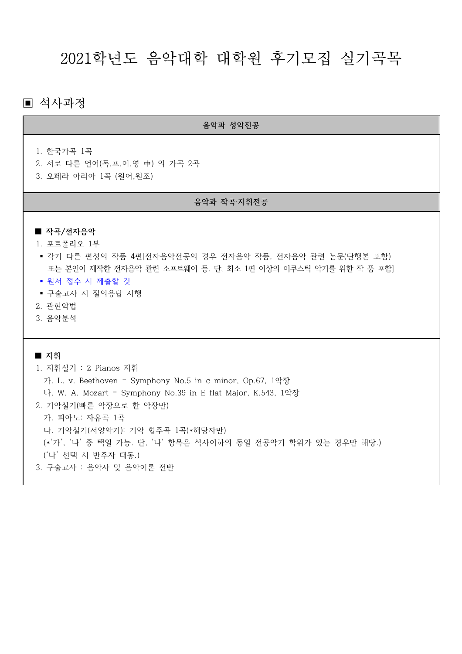# 2021학년도 음악대학 대학원 후기모집 실기곡목

# ▣ 석사과정

음악과 성악전공

1. 한국가곡 1곡

- 2. 서로 다른 언어(독,프,이,영 中) 의 가곡 2곡
- 3. 오페라 아리아 1곡 (원어, 원조)

#### 음악과 작곡·지휘전공

# ■ 작곡/전자음악

- 1. 포트폴리오 1부
- 각기 다른 편성의 작품 4편[전자음악전공의 경우 전자음악 작품, 전자음악 관련 논문(단행본 포함) 또는 본인이 제작한 전자음악 관련 소프트웨어 등. 단, 최소 1편 이상의 어쿠스틱 악기를 위한 작 품 포함]
- 원서 접수 시 제출할 것
- 구술고사 시 질의응답 시행
- 2. 관현악법
- 3. 음악분석

 $\blacksquare$  지휘 1. 지휘실기 : 2 Pianos 지휘 가. L. v. Beethoven - Symphony No.5 in c minor, Op.67, 1악장 나. W. A. Mozart - Symphony No.39 in E flat Major, K.543, 1악장 2. 기악실기(빠른 악장으로 한 악장만) 가. 피아노: 자유곡 1곡 나. 기악실기(서양악기): 기악 협주곡 1곡(\*해당자만) (\*'가', '나' 중 택일 가능. 단, '나' 항목은 석사이하의 동일 전공악기 학위가 있는 경우만 해당.) ('나' 선택 시 반주자 대동.) 3. 구술고사 : 음악사 및 음악이론 전반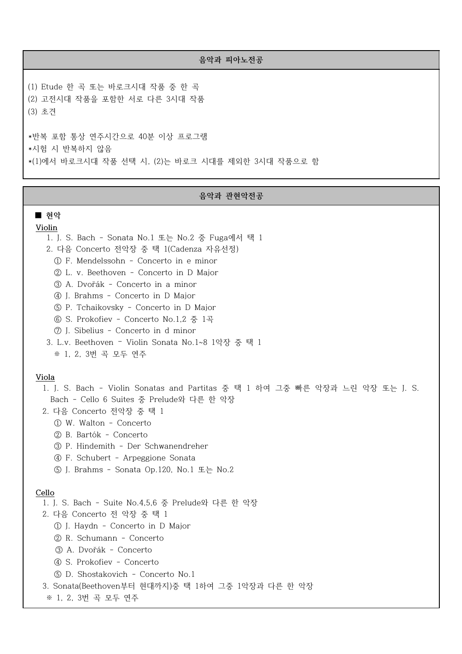#### 음악과 피아노전공

(1) Etude 한 곡 또는 바로크시대 작품 중 한 곡 (2) 고전시대 작품을 포함한 서로 다른 3시대 작품 (3) 초견

\* 반복 포함 통상 연주시간으로 40분 이상 프로그램 \*시험 시 반복하지 않음 \*(1)에서 바로크시대 작품 선택 시, (2)는 바로크 시대를 제외한 3시대 작품으로 함

#### 음악과 관현악전공

#### $\blacksquare$  현악

Violin

1. J. S. Bach - Sonata No.1 또는 No.2 중 Fuga에서 택 1

- 2. 다음 Concerto 전악장 중 택 1(Cadenza 자유선정)
	- ① F. Mendelssohn Concerto in e minor
	- ② L. v. Beethoven Concerto in D Major
	- ③ A. Dvořák Concerto in a minor
	- ④ J. Brahms Concerto in D Major
	- ⑤ P. Tchaikovsky Concerto in D Major
	- ⑥ S. Prokofiev Concerto No.1,2 중 1곡
	- ⑦ J. Sibelius Concerto in d minor
- 3. L.v. Beethoven Violin Sonata No.1~8 1악장 중 택 1
	- ※ 1, 2, 3번 곡 모두 연주

#### Viola

1. J. S. Bach - Violin Sonatas and Partitas 중 택 1 하여 그중 빠른 악장과 느린 악장 또는 J. S. Bach - Cello 6 Suites 중 Prelude와 다른 한 악장

- 2. 다음 Concerto 전악장 중 택 1
	- ① W. Walton Concerto
	- ② B. Bartók Concerto
	- ③ P. Hindemith Der Schwanendreher
	- ④ F. Schubert Arpeggione Sonata
	- ⑤ J. Brahms Sonata Op.120, No.1 또는 No.2

#### Cello

1. J. S. Bach - Suite No.4,5,6 중 Prelude와 다른 한 악장

- 2. 다음 Concerto 전 악장 중 택 1
	- ① J. Haydn Concerto in D Major
	- ② R. Schumann Concerto
	- ③ A. Dvořák Concerto
	- ④ S. Prokofiev Concerto
	- ⑤ D. Shostakovich Concerto No.1
- 3. Sonata(Beethoven 부터 현대까지)중 택 1하여 그중 1악장과 다른 한 악장

※ 1, 2, 3번 곡 모두 연주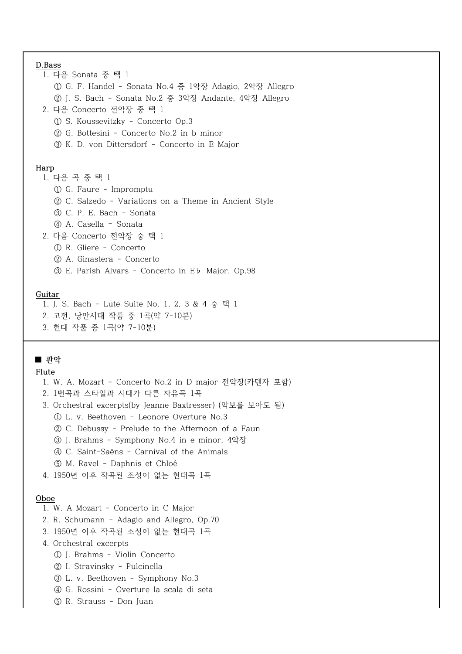| D.Bass                                                  |  |  |  |
|---------------------------------------------------------|--|--|--|
| 1. 다음 Sonata 중 택 1                                      |  |  |  |
| ① G. F. Handel - Sonata No.4 중 1악장 Adagio, 2악장 Allegro  |  |  |  |
| ② J. S. Bach - Sonata No.2 중 3악장 Andante, 4악장 Allegro   |  |  |  |
| 2. 다음 Concerto 전악장 중 택 1                                |  |  |  |
| 10 S. Koussevitzky - Concerto Op.3                      |  |  |  |
| ② G. Bottesini - Concerto No.2 in b minor               |  |  |  |
| 3 K. D. von Dittersdorf - Concerto in E Major           |  |  |  |
|                                                         |  |  |  |
| Harp                                                    |  |  |  |
| 1. 다음 곡 중 택 1                                           |  |  |  |
| 1 G. Faure - Impromptu                                  |  |  |  |
| ② C. Salzedo - Variations on a Theme in Ancient Style   |  |  |  |
| 3 C. P. E. Bach - Sonata                                |  |  |  |
| (4) A. Casella - Sonata                                 |  |  |  |
| 2. 다음 Concerto 전악장 중 택 1                                |  |  |  |
| 1 R. Gliere - Concerto                                  |  |  |  |
| (2) A. Ginastera - Concerto                             |  |  |  |
| <b>3</b> E. Parish Alvars - Concerto in Eb Major, Op.98 |  |  |  |
|                                                         |  |  |  |
| Guitar                                                  |  |  |  |
| 1. J. S. Bach - Lute Suite No. 1, 2, 3 & 4 중 택 1        |  |  |  |

- 2. 고전, 낭만시대 작품 중 1곡(약 7-10분)
- 3. 현대 작품 중 1곡(약 7-10분)

# $\blacksquare$  관악

# Flute

- 1. W. A. Mozart Concerto No.2 in D major 전악장(카덴자 포함)
- 2. 1번곡과 스타일과 시대가 다른 자유곡 1곡
- 3. Orchestral excerpts(by Jeanne Baxtresser) (악보를 보아도 됨)

L. v. Beethoven - Leonore Overture No.3 ①

- C. Debussy Prelude to the Afternoon of a Faun ②
- ③ J. Brahms Symphony No.4 in e minor, 4악장
- C. Saint-Saëns Carnival of the Animals ④
- M. Ravel Daphnis et Chloé ⑤
- 4. 1950년 이후 작곡된 조성이 없는 현대곡 1곡

# Oboe

- 1. W. A Mozart Concerto in C Major
- 2. R. Schumann Adagio and Allegro, Op.70
- 3. 1950년 이후 작곡된 조성이 없는 현대곡 1곡
- 4. Orchestral excerpts
	- J. Brahms Violin Concerto ①
	- I. Stravinsky Pulcinella ②
	- L. v. Beethoven Symphony No.3 ③
	- G. Rossini Overture la scala di seta ④
	- R. Strauss Don Juan ⑤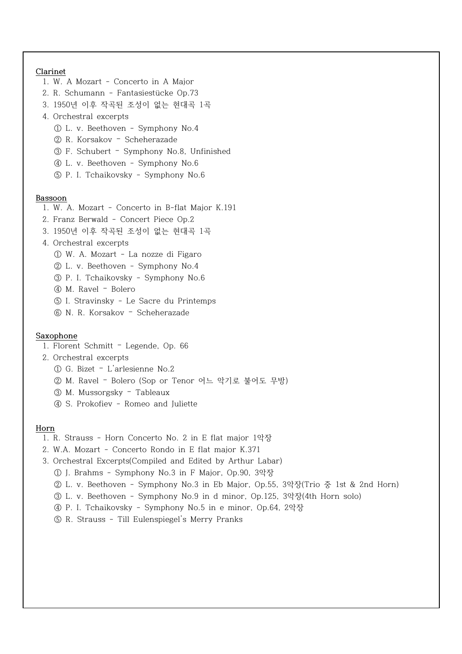# Clarinet

- 1. W. A Mozart Concerto in A Major
- 2. R. Schumann Fantasiestücke Op.73
- 3. 1950년 이후 작곡된 조성이 없는 현대곡 1곡
- 4. Orchestral excerpts
	- L. v. Beethoven Symphony No.4 ①
	- 2 R. Korsakov Scheherazade
	- F. Schubert Symphony No.8, Unfinished ③ –
	- L. v. Beethoven Symphony No.6 ④
	- P. I. Tchaikovsky Symphony No.6 ⑤

#### Bassoon

- 1. W. A. Mozart Concerto in B-flat Major K.191
- 2. Franz Berwald Concert Piece Op.2
- 3. 1950년 이후 작곡된 조성이 없는 현대곡 1곡
- 4. Orchestral excerpts
	- W. A. Mozart La nozze di Figaro ①
	- L. v. Beethoven Symphony No.4 ②
	- P. I. Tchaikovsky Symphony No.6 ③
	- 40 M. Ravel Bolero
	- I. Stravinsky Le Sacre du Printemps ⑤
	- 6 N. R. Korsakov Scheherazade

# Saxophone

- 1. Florent Schmitt Legende, Op. 66
- 2. Orchestral excerpts
	- $\Omega$  G. Bizet L'arlesienne No.2
	- ② M. Ravel Bolero (Sop or Tenor 어느 악기로 불어도 무방)
	- 3 M. Mussorgsky Tableaux
	- (4) S. Prokofiev Romeo and Juliette

#### Horn

- 1. R. Strauss Horn Concerto No. 2 in E flat major 1댛땻
- 2. W.A. Mozart Concerto Rondo in E flat major K.371
- 3. Orchestral Excerpts(Compiled and Edited by Arthur Labar)
	- ① J. Brahms Symphony No.3 in F Major, Op.90, 3악장
	- ② L. v. Beethoven Symphony No.3 in Eb Major, Op.55, 3악장(Trio 중 1st & 2nd Horn)
	- ③ L. v. Beethoven Symphony No.9 in d minor, Op.125, 3악장(4th Horn solo)
	- P. I. Tchaikovsky Symphony No.5 in e minor, Op ④ .64, 2댛땻
	- R. Strauss Till Eulenspiegel's Merry Pranks ⑤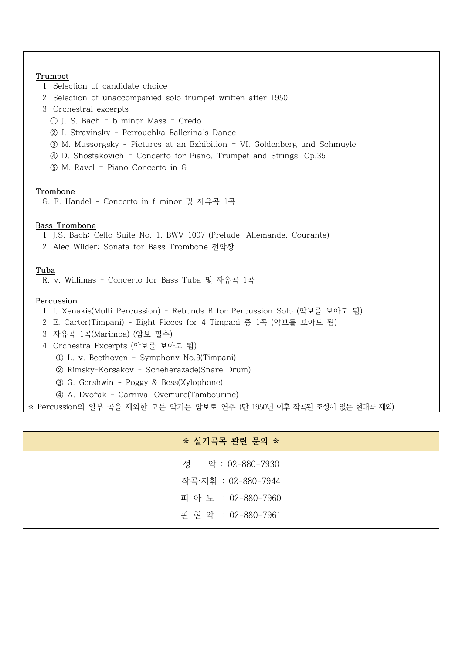| Trumpet                                                                     |
|-----------------------------------------------------------------------------|
| 1. Selection of candidate choice                                            |
| 2. Selection of unaccompanied solo trumpet written after 1950               |
| 3. Orchestral excerpts                                                      |
| 1 J. S. Bach - b minor Mass - Credo                                         |
| 2 I. Stravinsky - Petrouchka Ballerina's Dance                              |
| ③ M. Mussorgsky - Pictures at an Exhibition - VI. Goldenberg und Schmuyle   |
| 4 D. Shostakovich - Concerto for Piano, Trumpet and Strings, Op.35          |
| 5 M. Ravel - Piano Concerto in G                                            |
|                                                                             |
| Trombone                                                                    |
| G. F. Handel - Concerto in f minor 및 자유곡 1곡                                 |
| <b>Bass Trombone</b>                                                        |
| 1. J.S. Bach: Cello Suite No. 1, BWV 1007 (Prelude, Allemande, Courante)    |
| 2. Alec Wilder: Sonata for Bass Trombone 전악장                                |
|                                                                             |
| Tuba                                                                        |
| R. v. Willimas - Concerto for Bass Tuba 및 자유곡 1곡                            |
| Percussion                                                                  |
| 1. I. Xenakis(Multi Percussion) - Rebonds B for Percussion Solo (악보를 보아도 됨) |
| 2. E. Carter(Timpani) - Eight Pieces for 4 Timpani 중 1곡 (악보를 보아도 됨)         |
| 3. 자유곡 1곡(Marimba) (암보 필수)                                                  |
| 4. Orchestra Excerpts (악보를 보아도 됨)                                           |
| 1 DL. v. Beethoven - Symphony No.9(Timpani)                                 |
| 2 Rimsky-Korsakov - Scheherazade(Snare Drum)                                |
| 3 G. Gershwin - Poggy & Bess(Xylophone)                                     |
| 4 A. Dvořák - Carnival Overture(Tambourine)                                 |
| ※ Percussion의 일부 곡을 제외한 모든 악기는 암보로 연주 (단 1950년 이후 작곡된 조성이 없는 현대곡 제외)        |

| ※ 실기곡목 관련 문의 ※      |  |
|---------------------|--|
| 성 악 : 02-880-7930   |  |
| 작곡·지휘 : 02-880-7944 |  |
| 피 아 노 : 02-880-7960 |  |
| 관 현 악 : 02-880-7961 |  |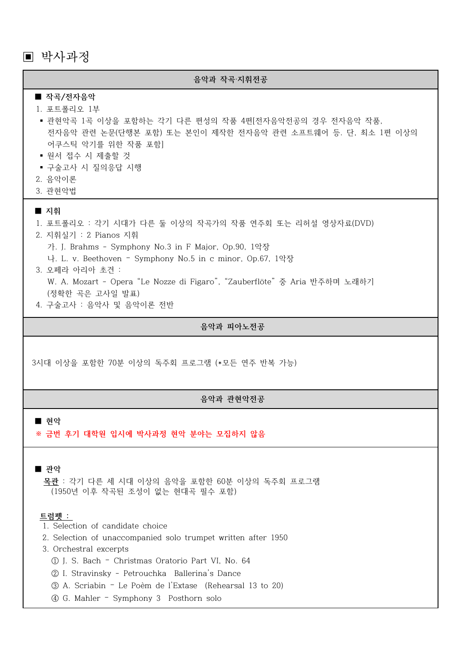▣ 박사과정

# 음악과 작곡·지휘전공

#### ■ 작곡/전자음악

#### 1. 포트폴리오 1부

- 관현악곡 1곡 이상을 포함하는 각기 다른 편성의 작품 4편[전자음악전공의 경우 전자음악 작품, 전자음악 과련 논문(단행본 포함) 또는 본인이 제작한 전자음악 과련 소프트웨어 등, 단, 최소 1편 이상의 어쿠스틱 악기를 위한 작품 포함]
- 원서 접수 시 제출할 것
- 구술고사 시 질의응답 시행
- 2. 음악이론
- 3. 관현악법

#### $\blacksquare$  지휘

1. 포트폴리오 : 각기 시대가 다른 둘 이상의 작곡가의 작품 연주회 또는 리허설 영상자료(DVD)

2. 지휘실기 : 2 Pianos 지휘

가. J. Brahms - Symphony No.3 in F Major, Op.90, 1악장

- 나. L. v. Beethoven Symphony No.5 in c minor, Op.67, 1악장
- 3. 오페라 아리아 초견 : W. A. Mozart - Opera "Le Nozze di Figaro", "Zauberflöte" 중 Aria 반주하며 노래하기 (정확한 곡은 고사일 발표)
- 4. 구술고사 : 음악사 및 음악이론 전반

#### 음악과 피아노전공

3시대 이상을 포함한 70부 이상의 독주회 프로그램 (\*모든 여주 반복 가능)

#### 음악과 관현악전공

#### $\blacksquare$  현악

※ 금번 후기 대학원 입시에 박사과정 현악 분야는 모집하지 않음

■ 髖댛

목관 : 각기 다른 세 시대 이상의 음악을 포함한 60분 이상의 독주회 프로그램 (1950년 이후 작곡된 조성이 없는 현대곡 필수 포함)

#### 트럼펙 :

- 1. Selection of candidate choice
- 2. Selection of unaccompanied solo trumpet written after 1950
- 3. Orchestral excerpts
	- ① J. S. Bach Christmas Oratorio Part VI, No. 64
	- ② I. Stravinsky Petrouchka Ballerina's Dance
	- A. Scriabin Le Poèm de l'Extase (Rehearsal ③ 13 to 20)
	- G. Mahler Symphony 3 Posthorn solo ④ –